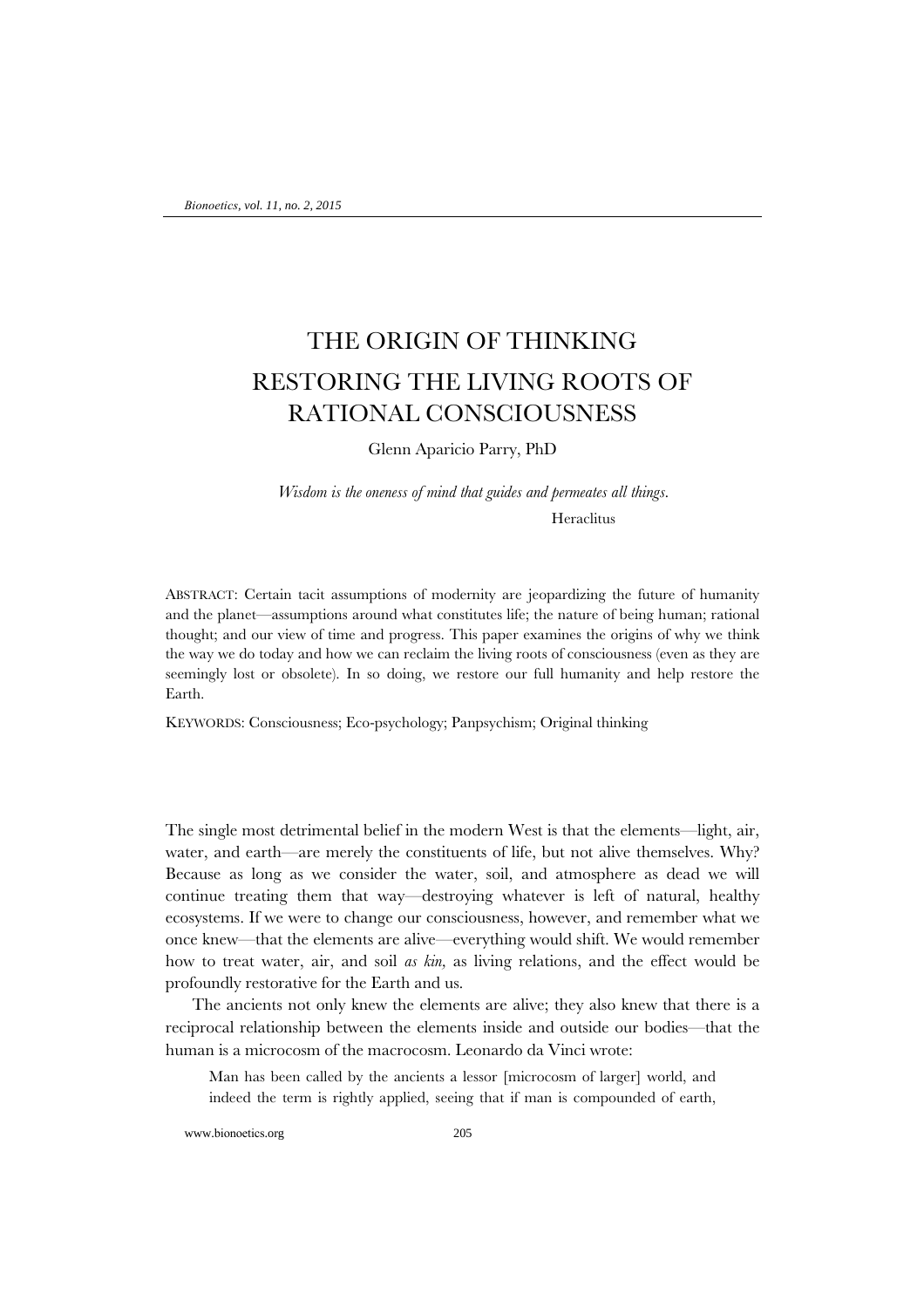# THE ORIGIN OF THINKING RESTORING THE LIVING ROOTS OF RATIONAL CONSCIOUSNESS

Glenn Aparicio Parry, PhD

*Wisdom is the oneness of mind that guides and permeates all things.* Heraclitus

ABSTRACT: Certain tacit assumptions of modernity are jeopardizing the future of humanity and the planet—assumptions around what constitutes life; the nature of being human; rational thought; and our view of time and progress. This paper examines the origins of why we think the way we do today and how we can reclaim the living roots of consciousness (even as they are seemingly lost or obsolete). In so doing, we restore our full humanity and help restore the Earth.

KEYWORDS: Consciousness; Eco-psychology; Panpsychism; Original thinking

The single most detrimental belief in the modern West is that the elements—light, air, water, and earth—are merely the constituents of life, but not alive themselves. Why? Because as long as we consider the water, soil, and atmosphere as dead we will continue treating them that way—destroying whatever is left of natural, healthy ecosystems. If we were to change our consciousness, however, and remember what we once knew—that the elements are alive—everything would shift. We would remember how to treat water, air, and soil *as kin,* as living relations, and the effect would be profoundly restorative for the Earth and us.

The ancients not only knew the elements are alive; they also knew that there is a reciprocal relationship between the elements inside and outside our bodies—that the human is a microcosm of the macrocosm. Leonardo da Vinci wrote:

Man has been called by the ancients a lessor [microcosm of larger] world, and indeed the term is rightly applied, seeing that if man is compounded of earth,

www.bionoetics.org 205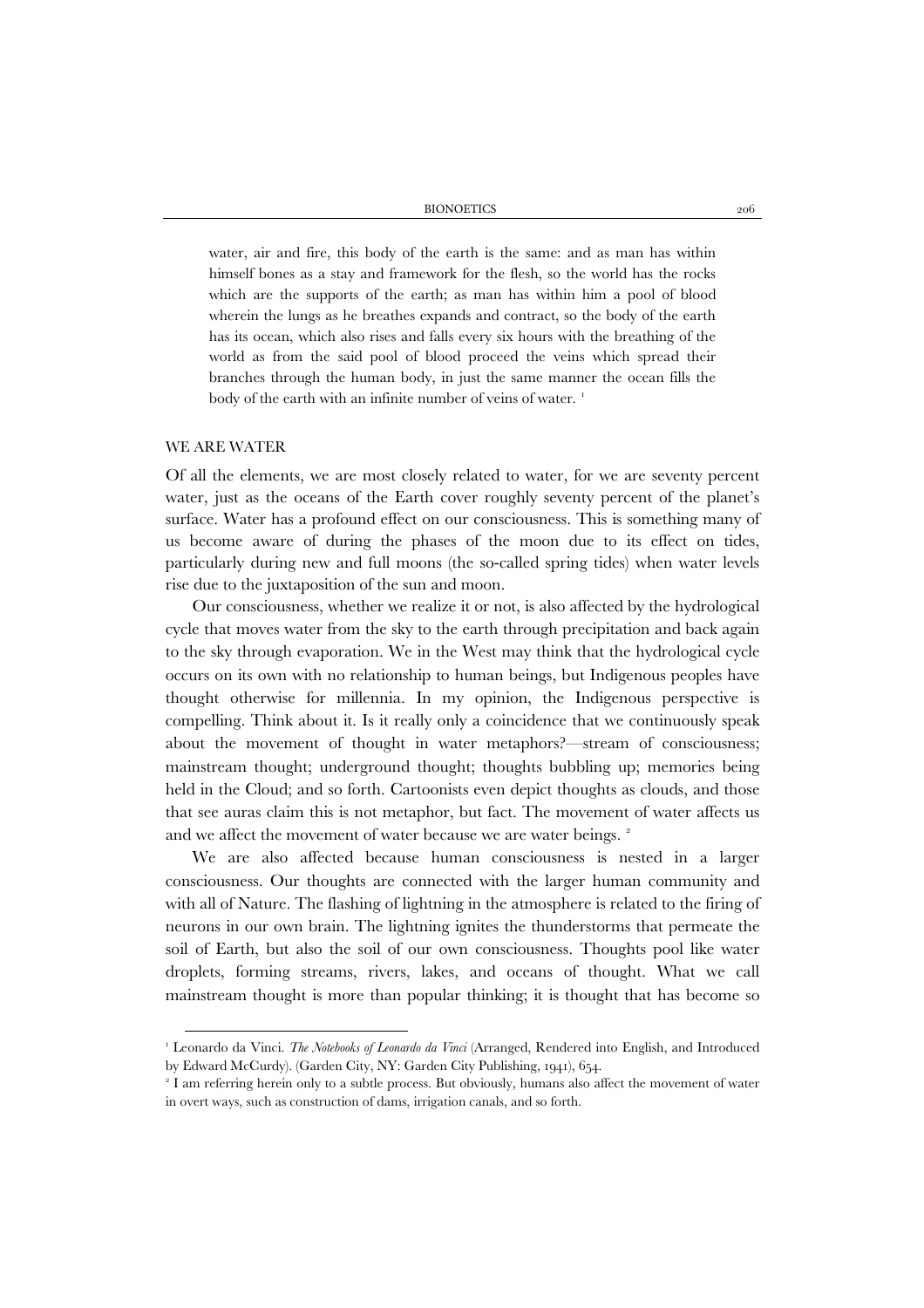BIONOETICS 206

water, air and fire, this body of the earth is the same: and as man has within himself bones as a stay and framework for the flesh, so the world has the rocks which are the supports of the earth; as man has within him a pool of blood wherein the lungs as he breathes expands and contract, so the body of the earth has its ocean, which also rises and falls every six hours with the breathing of the world as from the said pool of blood proceed the veins which spread their branches through the human body, in just the same manner the ocean fills the body of the earth with an infinite number of veins of water.<sup>[1](#page-1-0)</sup>

#### WE ARE WATER

Of all the elements, we are most closely related to water, for we are seventy percent water, just as the oceans of the Earth cover roughly seventy percent of the planet's surface. Water has a profound effect on our consciousness. This is something many of us become aware of during the phases of the moon due to its effect on tides, particularly during new and full moons (the so-called spring tides) when water levels rise due to the juxtaposition of the sun and moon.

Our consciousness, whether we realize it or not, is also affected by the hydrological cycle that moves water from the sky to the earth through precipitation and back again to the sky through evaporation. We in the West may think that the hydrological cycle occurs on its own with no relationship to human beings, but Indigenous peoples have thought otherwise for millennia. In my opinion, the Indigenous perspective is compelling. Think about it. Is it really only a coincidence that we continuously speak about the movement of thought in water metaphors?—stream of consciousness; mainstream thought; underground thought; thoughts bubbling up; memories being held in the Cloud; and so forth. Cartoonists even depict thoughts as clouds, and those that see auras claim this is not metaphor, but fact. The movement of water affects us and we affect the movement of water because we are water beings.<sup>[2](#page-1-1)</sup>

We are also affected because human consciousness is nested in a larger consciousness. Our thoughts are connected with the larger human community and with all of Nature. The flashing of lightning in the atmosphere is related to the firing of neurons in our own brain. The lightning ignites the thunderstorms that permeate the soil of Earth, but also the soil of our own consciousness. Thoughts pool like water droplets, forming streams, rivers, lakes, and oceans of thought. What we call mainstream thought is more than popular thinking; it is thought that has become so

<span id="page-1-0"></span><sup>1</sup> Leonardo da Vinci. *The Notebooks of Leonardo da Vinci* (Arranged, Rendered into English, and Introduced by Edward McCurdy). (Garden City, NY: Garden City Publishing, 1941), 654.

<span id="page-1-1"></span><sup>&</sup>lt;sup>2</sup> I am referring herein only to a subtle process. But obviously, humans also affect the movement of water in overt ways, such as construction of dams, irrigation canals, and so forth.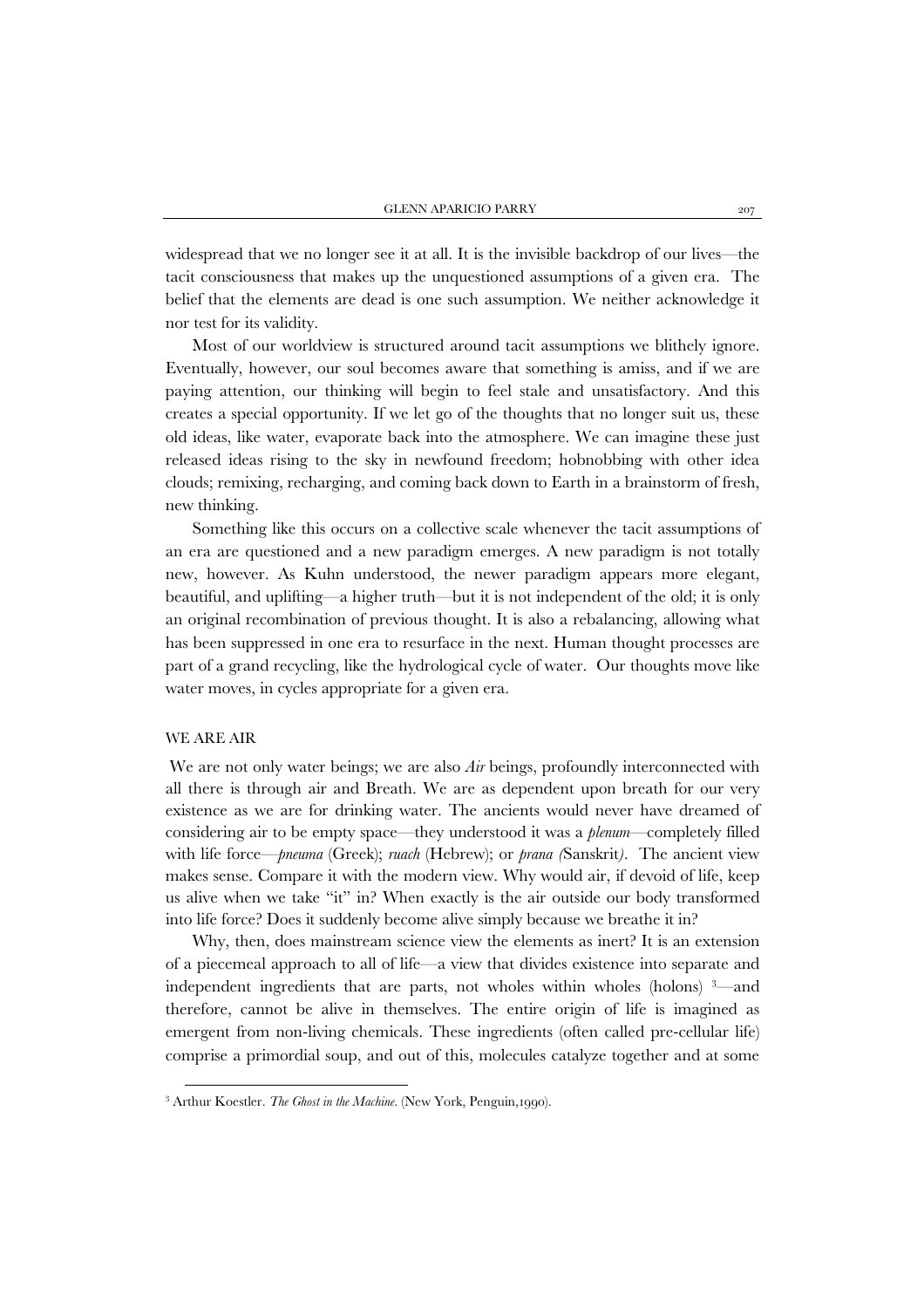widespread that we no longer see it at all. It is the invisible backdrop of our lives—the tacit consciousness that makes up the unquestioned assumptions of a given era. The belief that the elements are dead is one such assumption. We neither acknowledge it nor test for its validity.

Most of our worldview is structured around tacit assumptions we blithely ignore. Eventually, however, our soul becomes aware that something is amiss, and if we are paying attention, our thinking will begin to feel stale and unsatisfactory. And this creates a special opportunity. If we let go of the thoughts that no longer suit us, these old ideas, like water, evaporate back into the atmosphere. We can imagine these just released ideas rising to the sky in newfound freedom; hobnobbing with other idea clouds; remixing, recharging, and coming back down to Earth in a brainstorm of fresh, new thinking.

Something like this occurs on a collective scale whenever the tacit assumptions of an era are questioned and a new paradigm emerges. A new paradigm is not totally new, however. As Kuhn understood, the newer paradigm appears more elegant, beautiful, and uplifting—a higher truth—but it is not independent of the old; it is only an original recombination of previous thought. It is also a rebalancing, allowing what has been suppressed in one era to resurface in the next. Human thought processes are part of a grand recycling, like the hydrological cycle of water. Our thoughts move like water moves, in cycles appropriate for a given era.

## WE ARE AIR

j

We are not only water beings; we are also *Air* beings, profoundly interconnected with all there is through air and Breath. We are as dependent upon breath for our very existence as we are for drinking water. The ancients would never have dreamed of considering air to be empty space—they understood it was a *plenum*—completely filled with life force—*pneuma* (Greek); *ruach* (Hebrew); or *prana (*Sanskrit*)*. The ancient view makes sense. Compare it with the modern view. Why would air, if devoid of life, keep us alive when we take "it" in? When exactly is the air outside our body transformed into life force? Does it suddenly become alive simply because we breathe it in?

Why, then, does mainstream science view the elements as inert? It is an extension of a piecemeal approach to all of life—a view that divides existence into separate and independent ingredients that are parts, not wholes within wholes (holons) [3](#page-2-0) —and therefore, cannot be alive in themselves. The entire origin of life is imagined as emergent from non-living chemicals. These ingredients (often called pre-cellular life) comprise a primordial soup, and out of this, molecules catalyze together and at some

<span id="page-2-0"></span><sup>&</sup>lt;sup>3</sup> Arthur Koestler. *The Ghost in the Machine*. (New York, Penguin,1990).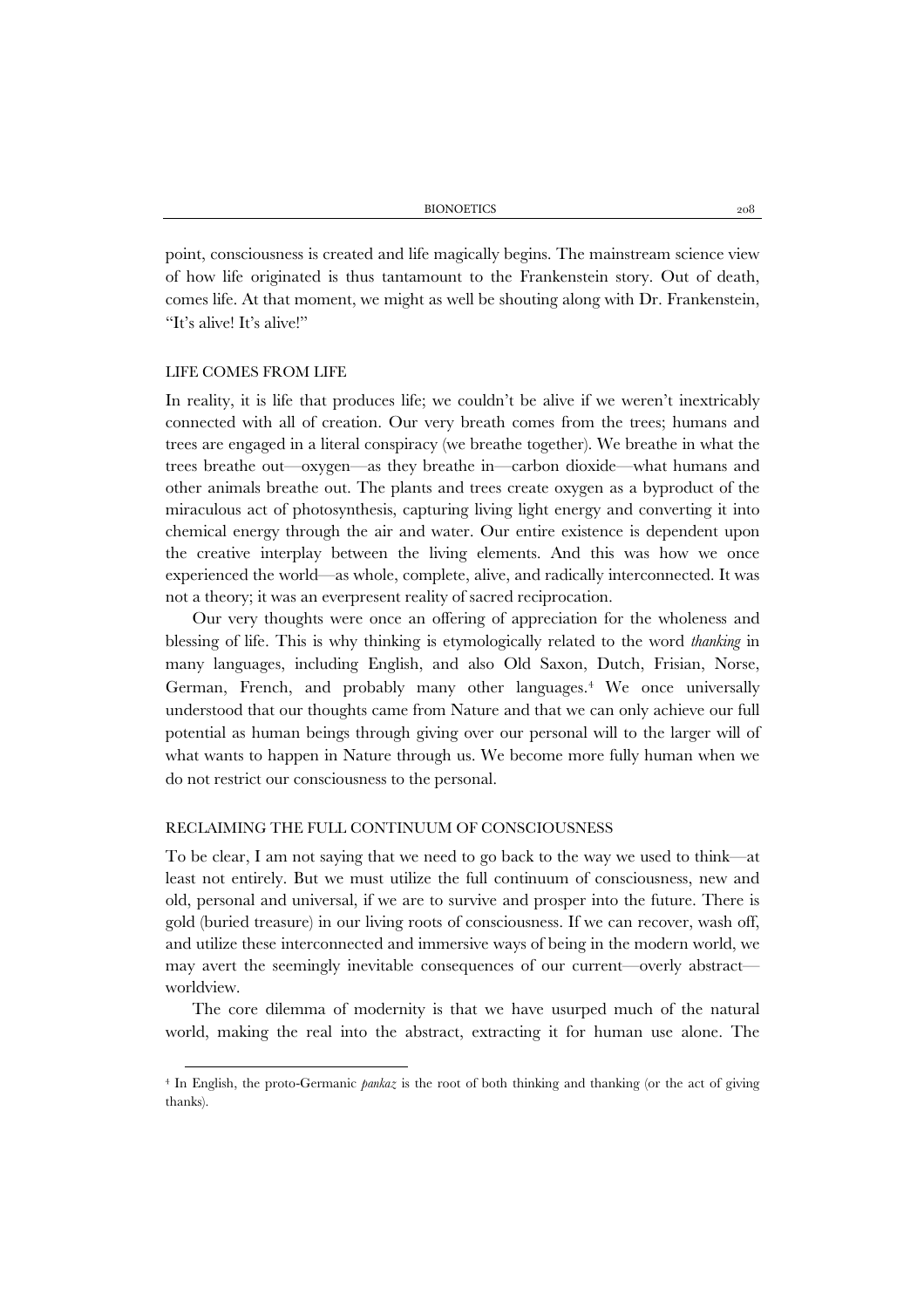point, consciousness is created and life magically begins. The mainstream science view of how life originated is thus tantamount to the Frankenstein story. Out of death, comes life. At that moment, we might as well be shouting along with Dr. Frankenstein, "It's alive! It's alive!"

#### LIFE COMES FROM LIFE

In reality, it is life that produces life; we couldn't be alive if we weren't inextricably connected with all of creation. Our very breath comes from the trees; humans and trees are engaged in a literal conspiracy (we breathe together). We breathe in what the trees breathe out—oxygen—as they breathe in—carbon dioxide—what humans and other animals breathe out. The plants and trees create oxygen as a byproduct of the miraculous act of photosynthesis, capturing living light energy and converting it into chemical energy through the air and water. Our entire existence is dependent upon the creative interplay between the living elements. And this was how we once experienced the world—as whole, complete, alive, and radically interconnected. It was not a theory; it was an everpresent reality of sacred reciprocation.

Our very thoughts were once an offering of appreciation for the wholeness and blessing of life. This is why thinking is etymologically related to the word *thanking* in many languages, including English, and also Old Saxon, Dutch, Frisian, Norse, German, French, and probably many other languages.<sup>[4](#page-3-0)</sup> We once universally understood that our thoughts came from Nature and that we can only achieve our full potential as human beings through giving over our personal will to the larger will of what wants to happen in Nature through us. We become more fully human when we do not restrict our consciousness to the personal.

#### RECLAIMING THE FULL CONTINUUM OF CONSCIOUSNESS

To be clear, I am not saying that we need to go back to the way we used to think—at least not entirely. But we must utilize the full continuum of consciousness, new and old, personal and universal, if we are to survive and prosper into the future. There is gold (buried treasure) in our living roots of consciousness. If we can recover, wash off, and utilize these interconnected and immersive ways of being in the modern world, we may avert the seemingly inevitable consequences of our current—overly abstract worldview.

The core dilemma of modernity is that we have usurped much of the natural world, making the real into the abstract, extracting it for human use alone. The

<span id="page-3-0"></span><sup>4</sup> In English, the proto-Germanic *pankaz* is the root of both thinking and thanking (or the act of giving thanks).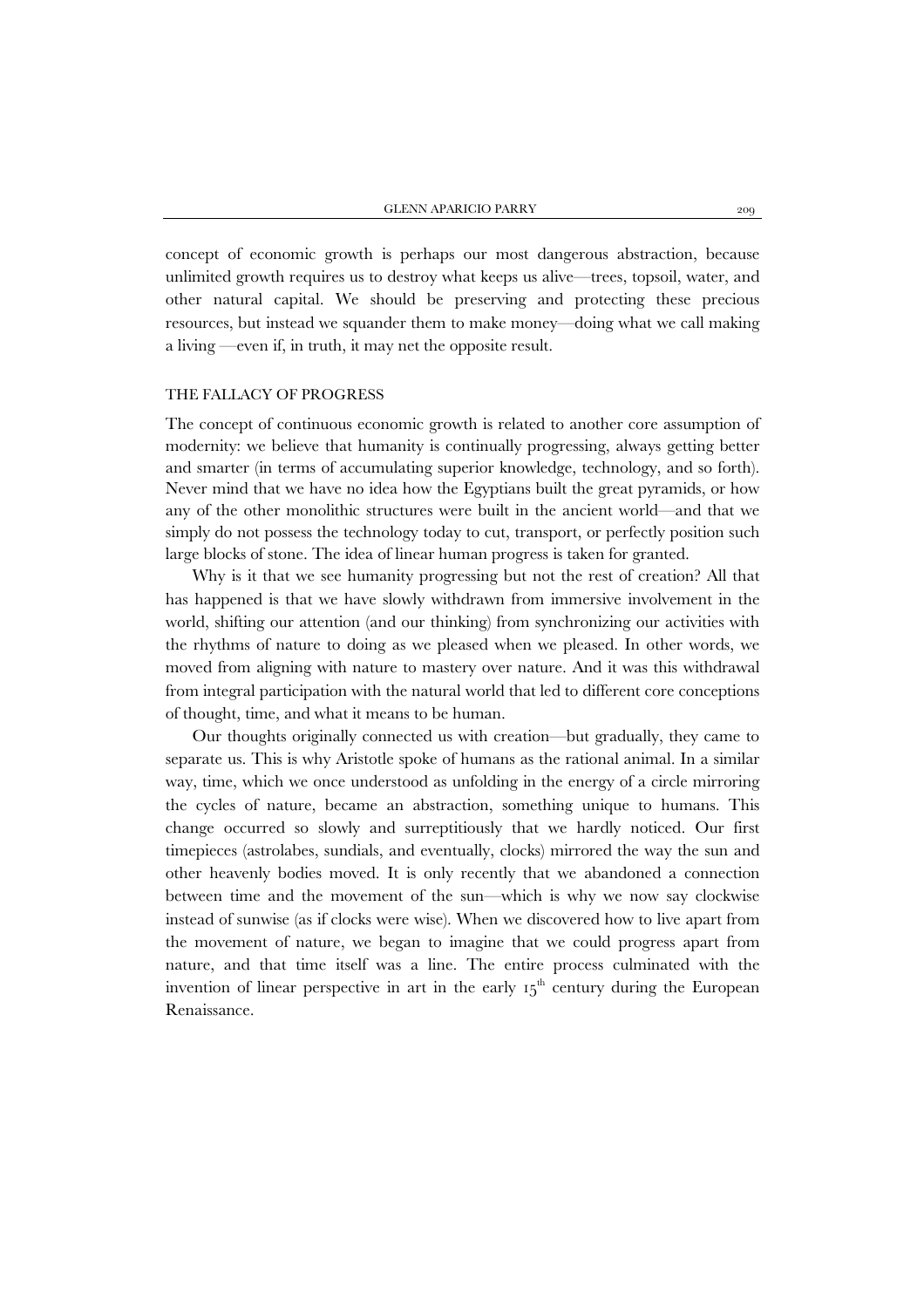concept of economic growth is perhaps our most dangerous abstraction, because unlimited growth requires us to destroy what keeps us alive—trees, topsoil, water, and other natural capital. We should be preserving and protecting these precious resources, but instead we squander them to make money—doing what we call making a living —even if, in truth, it may net the opposite result.

#### THE FALLACY OF PROGRESS

The concept of continuous economic growth is related to another core assumption of modernity: we believe that humanity is continually progressing, always getting better and smarter (in terms of accumulating superior knowledge, technology, and so forth). Never mind that we have no idea how the Egyptians built the great pyramids, or how any of the other monolithic structures were built in the ancient world—and that we simply do not possess the technology today to cut, transport, or perfectly position such large blocks of stone. The idea of linear human progress is taken for granted.

Why is it that we see humanity progressing but not the rest of creation? All that has happened is that we have slowly withdrawn from immersive involvement in the world, shifting our attention (and our thinking) from synchronizing our activities with the rhythms of nature to doing as we pleased when we pleased. In other words, we moved from aligning with nature to mastery over nature. And it was this withdrawal from integral participation with the natural world that led to different core conceptions of thought, time, and what it means to be human.

Our thoughts originally connected us with creation—but gradually, they came to separate us. This is why Aristotle spoke of humans as the rational animal. In a similar way, time, which we once understood as unfolding in the energy of a circle mirroring the cycles of nature, became an abstraction, something unique to humans. This change occurred so slowly and surreptitiously that we hardly noticed. Our first timepieces (astrolabes, sundials, and eventually, clocks) mirrored the way the sun and other heavenly bodies moved. It is only recently that we abandoned a connection between time and the movement of the sun—which is why we now say clockwise instead of sunwise (as if clocks were wise). When we discovered how to live apart from the movement of nature, we began to imagine that we could progress apart from nature, and that time itself was a line. The entire process culminated with the invention of linear perspective in art in the early  $I_5$ <sup>th</sup> century during the European Renaissance.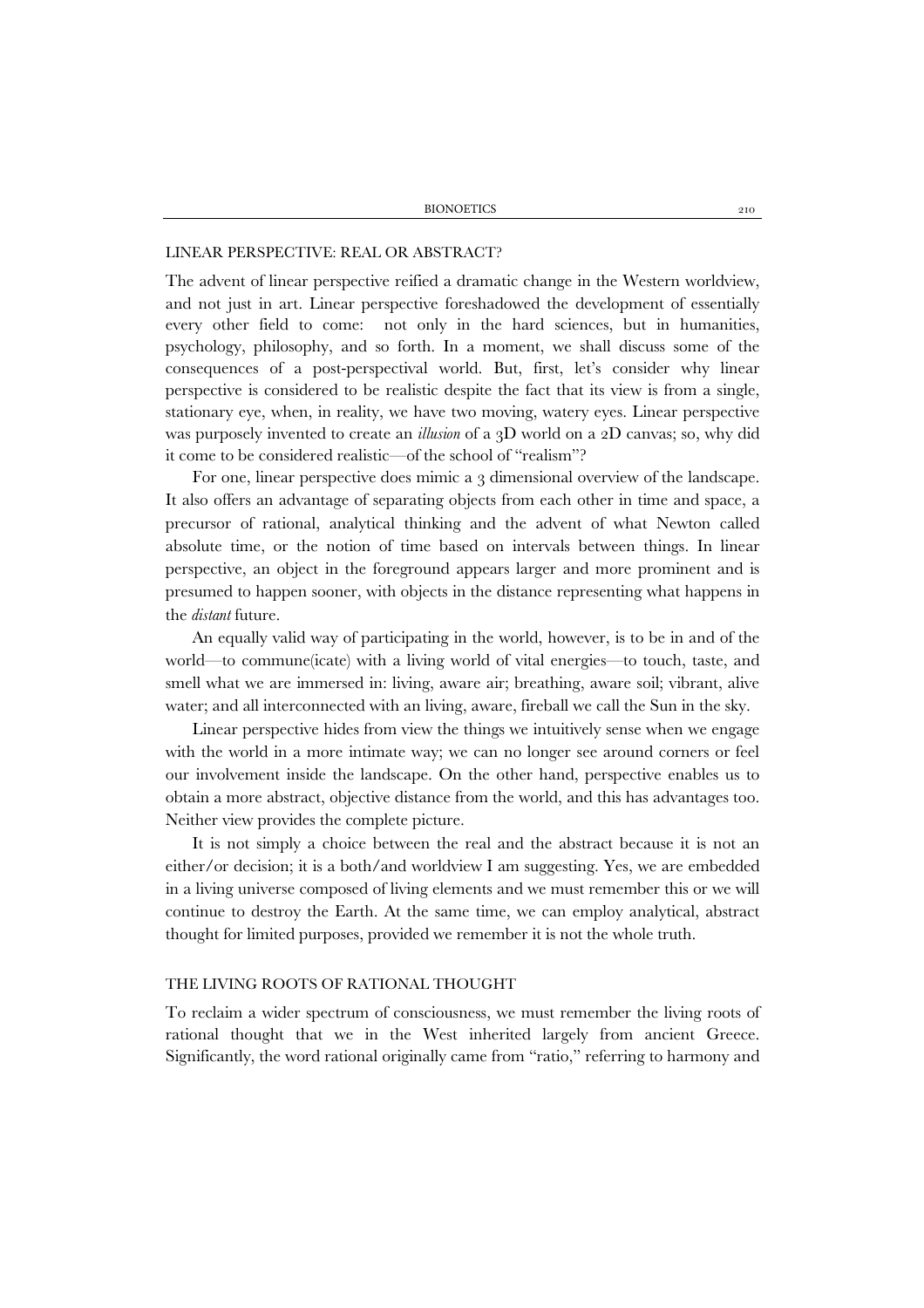#### LINEAR PERSPECTIVE: REAL OR ABSTRACT?

The advent of linear perspective reified a dramatic change in the Western worldview, and not just in art. Linear perspective foreshadowed the development of essentially every other field to come: not only in the hard sciences, but in humanities, psychology, philosophy, and so forth. In a moment, we shall discuss some of the consequences of a post-perspectival world. But, first, let's consider why linear perspective is considered to be realistic despite the fact that its view is from a single, stationary eye, when, in reality, we have two moving, watery eyes. Linear perspective was purposely invented to create an *illusion* of a 3D world on a 2D canvas; so, why did it come to be considered realistic—of the school of "realism"?

For one, linear perspective does mimic a 3 dimensional overview of the landscape. It also offers an advantage of separating objects from each other in time and space, a precursor of rational, analytical thinking and the advent of what Newton called absolute time, or the notion of time based on intervals between things. In linear perspective, an object in the foreground appears larger and more prominent and is presumed to happen sooner, with objects in the distance representing what happens in the *distant* future.

An equally valid way of participating in the world, however, is to be in and of the world—to commune(icate) with a living world of vital energies—to touch, taste, and smell what we are immersed in: living, aware air; breathing, aware soil; vibrant, alive water; and all interconnected with an living, aware, fireball we call the Sun in the sky.

Linear perspective hides from view the things we intuitively sense when we engage with the world in a more intimate way; we can no longer see around corners or feel our involvement inside the landscape. On the other hand, perspective enables us to obtain a more abstract, objective distance from the world, and this has advantages too. Neither view provides the complete picture.

It is not simply a choice between the real and the abstract because it is not an either/or decision; it is a both/and worldview I am suggesting. Yes, we are embedded in a living universe composed of living elements and we must remember this or we will continue to destroy the Earth. At the same time, we can employ analytical, abstract thought for limited purposes, provided we remember it is not the whole truth.

## THE LIVING ROOTS OF RATIONAL THOUGHT

To reclaim a wider spectrum of consciousness, we must remember the living roots of rational thought that we in the West inherited largely from ancient Greece. Significantly, the word rational originally came from "ratio," referring to harmony and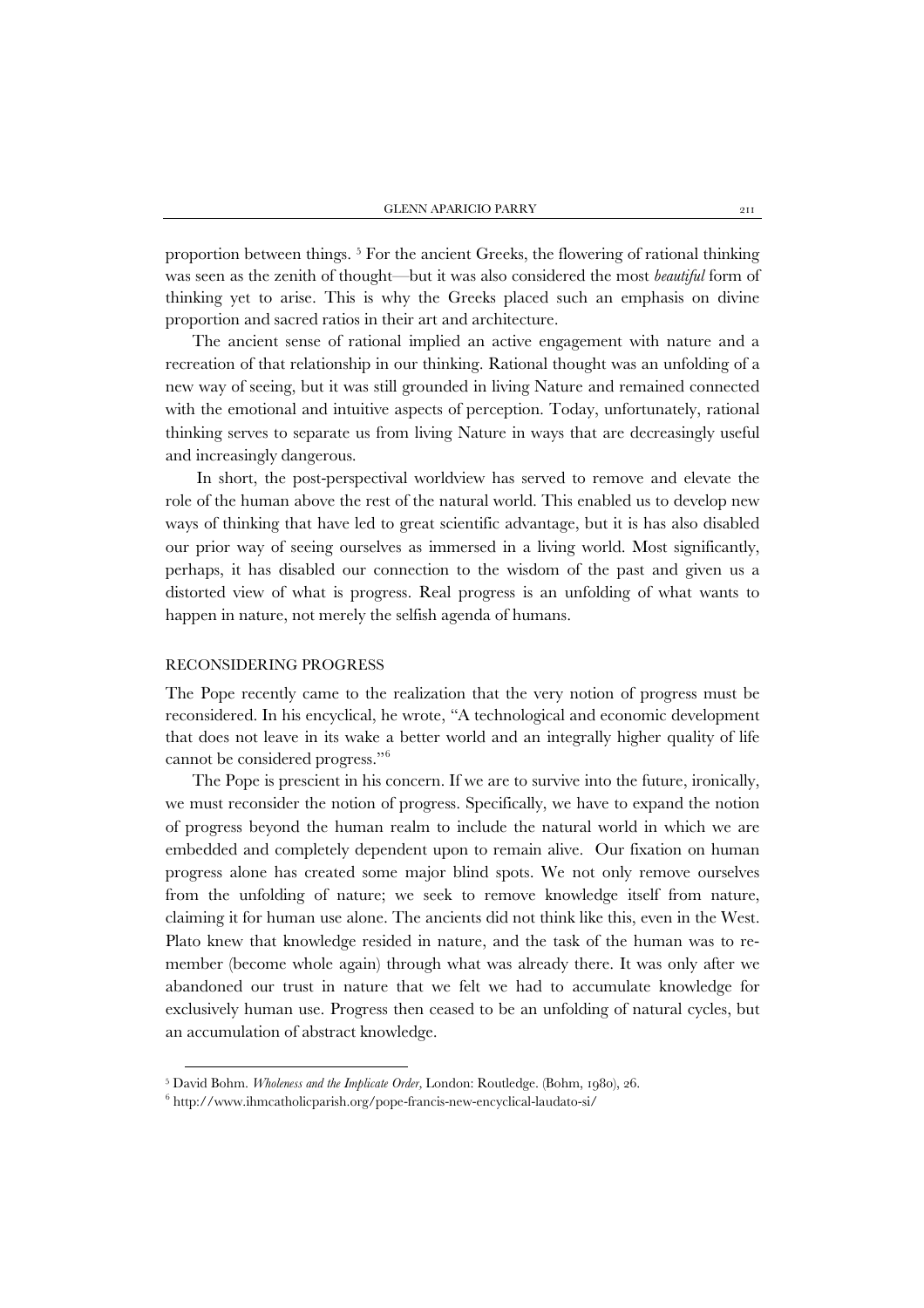proportion between things. [5](#page-6-0) For the ancient Greeks, the flowering of rational thinking was seen as the zenith of thought—but it was also considered the most *beautiful* form of thinking yet to arise. This is why the Greeks placed such an emphasis on divine proportion and sacred ratios in their art and architecture.

The ancient sense of rational implied an active engagement with nature and a recreation of that relationship in our thinking. Rational thought was an unfolding of a new way of seeing, but it was still grounded in living Nature and remained connected with the emotional and intuitive aspects of perception. Today, unfortunately, rational thinking serves to separate us from living Nature in ways that are decreasingly useful and increasingly dangerous.

In short, the post-perspectival worldview has served to remove and elevate the role of the human above the rest of the natural world. This enabled us to develop new ways of thinking that have led to great scientific advantage, but it is has also disabled our prior way of seeing ourselves as immersed in a living world. Most significantly, perhaps, it has disabled our connection to the wisdom of the past and given us a distorted view of what is progress. Real progress is an unfolding of what wants to happen in nature, not merely the selfish agenda of humans.

### RECONSIDERING PROGRESS

j

The Pope recently came to the realization that the very notion of progress must be reconsidered. In his encyclical, he wrote, "A technological and economic development that does not leave in its wake a better world and an integrally higher quality of life cannot be considered progress."[6](#page-6-1)

The Pope is prescient in his concern. If we are to survive into the future, ironically, we must reconsider the notion of progress. Specifically, we have to expand the notion of progress beyond the human realm to include the natural world in which we are embedded and completely dependent upon to remain alive. Our fixation on human progress alone has created some major blind spots. We not only remove ourselves from the unfolding of nature; we seek to remove knowledge itself from nature, claiming it for human use alone. The ancients did not think like this, even in the West. Plato knew that knowledge resided in nature, and the task of the human was to remember (become whole again) through what was already there. It was only after we abandoned our trust in nature that we felt we had to accumulate knowledge for exclusively human use. Progress then ceased to be an unfolding of natural cycles, but an accumulation of abstract knowledge.

<span id="page-6-0"></span><sup>&</sup>lt;sup>5</sup> David Bohm. *Wholeness and the Implicate Order*, London: Routledge. (Bohm, 1980), 26.<br><sup>6</sup> http://www.ihmcatholicparish.org/pope-francis-new-encyclical-laudato-si/

<span id="page-6-1"></span>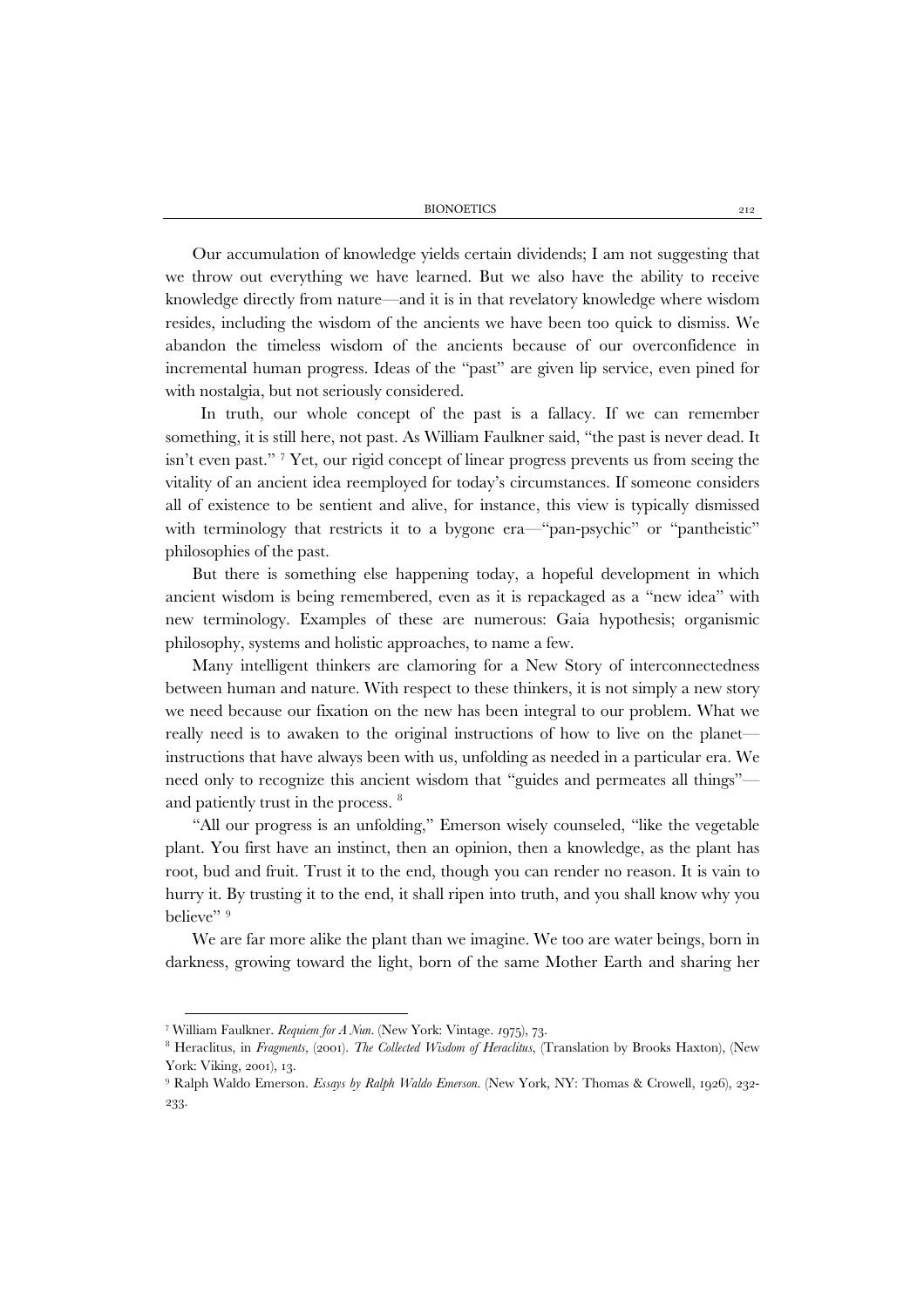BIONOETICS 212

Our accumulation of knowledge yields certain dividends; I am not suggesting that we throw out everything we have learned. But we also have the ability to receive knowledge directly from nature—and it is in that revelatory knowledge where wisdom resides, including the wisdom of the ancients we have been too quick to dismiss. We abandon the timeless wisdom of the ancients because of our overconfidence in incremental human progress. Ideas of the "past" are given lip service, even pined for with nostalgia, but not seriously considered.

 In truth, our whole concept of the past is a fallacy. If we can remember something, it is still here, not past. As William Faulkner said, "the past is never dead. It isn't even past." [7](#page-7-0) Yet, our rigid concept of linear progress prevents us from seeing the vitality of an ancient idea reemployed for today's circumstances. If someone considers all of existence to be sentient and alive, for instance, this view is typically dismissed with terminology that restricts it to a bygone era—"pan-psychic" or "pantheistic" philosophies of the past.

But there is something else happening today, a hopeful development in which ancient wisdom is being remembered, even as it is repackaged as a "new idea" with new terminology. Examples of these are numerous: Gaia hypothesis; organismic philosophy, systems and holistic approaches, to name a few.

Many intelligent thinkers are clamoring for a New Story of interconnectedness between human and nature. With respect to these thinkers, it is not simply a new story we need because our fixation on the new has been integral to our problem. What we really need is to awaken to the original instructions of how to live on the planet instructions that have always been with us, unfolding as needed in a particular era. We need only to recognize this ancient wisdom that "guides and permeates all things" and patiently trust in the process. [8](#page-7-1)

"All our progress is an unfolding," Emerson wisely counseled, "like the vegetable plant. You first have an instinct, then an opinion, then a knowledge, as the plant has root, bud and fruit. Trust it to the end, though you can render no reason. It is vain to hurry it. By trusting it to the end, it shall ripen into truth, and you shall know why you believe"<sup>[9](#page-7-2)</sup>

We are far more alike the plant than we imagine. We too are water beings, born in darkness, growing toward the light, born of the same Mother Earth and sharing her

<span id="page-7-0"></span><sup>7</sup> William Faulkner. *Requiem for A Nun*. (New York: Vintage. *1*975), 73.

<span id="page-7-1"></span><sup>8</sup> Heraclitus, in *Fragments,* (2001). *The Collected Wisdom of Heraclitus*, (Translation by Brooks Haxton), (New York: Viking, 2001), 13.

<span id="page-7-2"></span><sup>9</sup> Ralph Waldo Emerson. *Essays by Ralph Waldo Emerson*. (New York, NY: Thomas & Crowell, 1926), 232- 233.